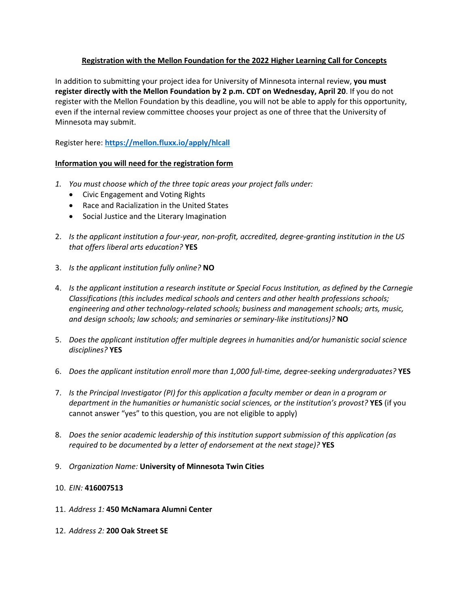## **Registration with the Mellon Foundation for the 2022 Higher Learning Call for Concepts**

In addition to submitting your project idea for University of Minnesota internal review, **you must register directly with the Mellon Foundation by 2 p.m. CDT on Wednesday, April 20**. If you do not register with the Mellon Foundation by this deadline, you will not be able to apply for this opportunity, even if the internal review committee chooses your project as one of three that the University of Minnesota may submit.

Register here: **<https://mellon.fluxx.io/apply/hlcall>**

## **Information you will need for the registration form**

- *1. You must choose which of the three topic areas your project falls under:*
	- Civic Engagement and Voting Rights
	- Race and Racialization in the United States
	- Social Justice and the Literary Imagination
- 2. *Is the applicant institution a four-year, non-profit, accredited, degree-granting institution in the US that offers liberal arts education?* **YES**
- 3. *Is the applicant institution fully online?* **NO**
- 4. *Is the applicant institution a research institute or Special Focus Institution, as defined by the Carnegie Classifications (this includes medical schools and centers and other health professions schools; engineering and other technology-related schools; business and management schools; arts, music, and design schools; law schools; and seminaries or seminary-like institutions)?* **NO**
- 5. *Does the applicant institution offer multiple degrees in humanities and/or humanistic social science disciplines?* **YES**
- 6. *Does the applicant institution enroll more than 1,000 full-time, degree-seeking undergraduates?* **YES**
- 7. *Is the Principal Investigator (PI) for this application a faculty member or dean in a program or department in the humanities or humanistic social sciences, or the institution's provost?* **YES** (if you cannot answer "yes" to this question, you are not eligible to apply)
- 8. *Does the senior academic leadership of this institution support submission of this application (as required to be documented by a letter of endorsement at the next stage)?* **YES**
- 9. *Organization Name:* **University of Minnesota Twin Cities**

## 10. *EIN:* **416007513**

- 11. *Address 1:* **450 McNamara Alumni Center**
- 12. *Address 2:* **200 Oak Street SE**